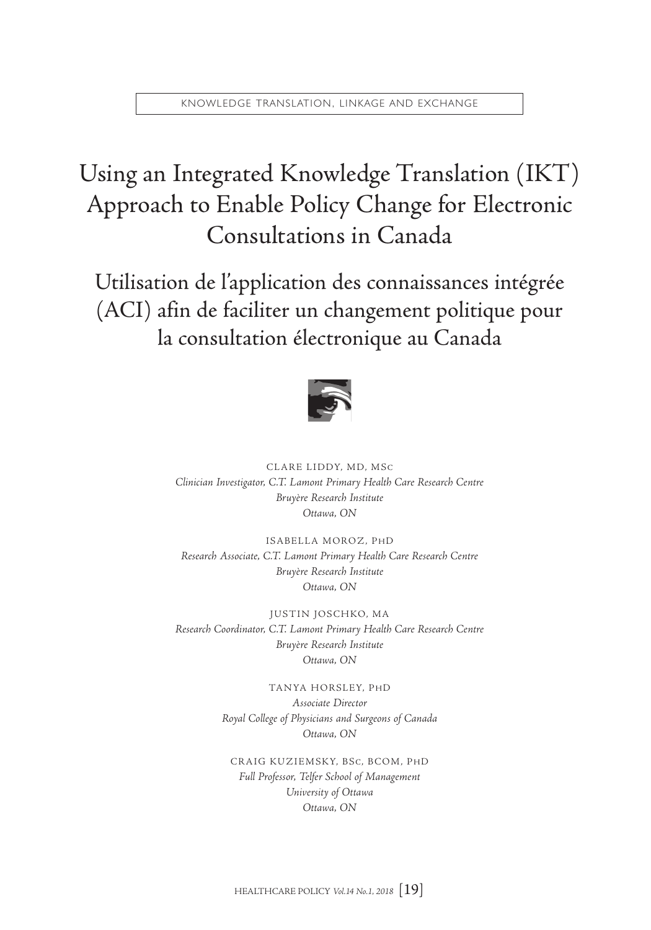# Using an Integrated Knowledge Translation (IKT) Approach to Enable Policy Change for Electronic Consultations in Canada

Utilisation de l'application des connaissances intégrée (ACI) afin de faciliter un changement politique pour la consultation électronique au Canada



CLARE LIDDY, MD, MSC *Clinician Investigator, C.T. Lamont Primary Health Care Research Centre Bruyère Research Institute Ottawa, ON*

ISABELLA MOROZ, PHD *Research Associate, C.T. Lamont Primary Health Care Research Centre Bruyère Research Institute Ottawa, ON*

JUSTIN JOSCHKO, MA *Research Coordinator, C.T. Lamont Primary Health Care Research Centre Bruyère Research Institute Ottawa, ON*

> TANYA HORSLEY, PHD *Associate Director Royal College of Physicians and Surgeons of Canada Ottawa, ON*

CRAIG KUZIEMSKY, BSC, BCOM, PHD *Full Professor, Telfer School of Management University of Ottawa Ottawa, ON*

HEALTHCARE POLICY *Vol.14 No.1, 2018* [19]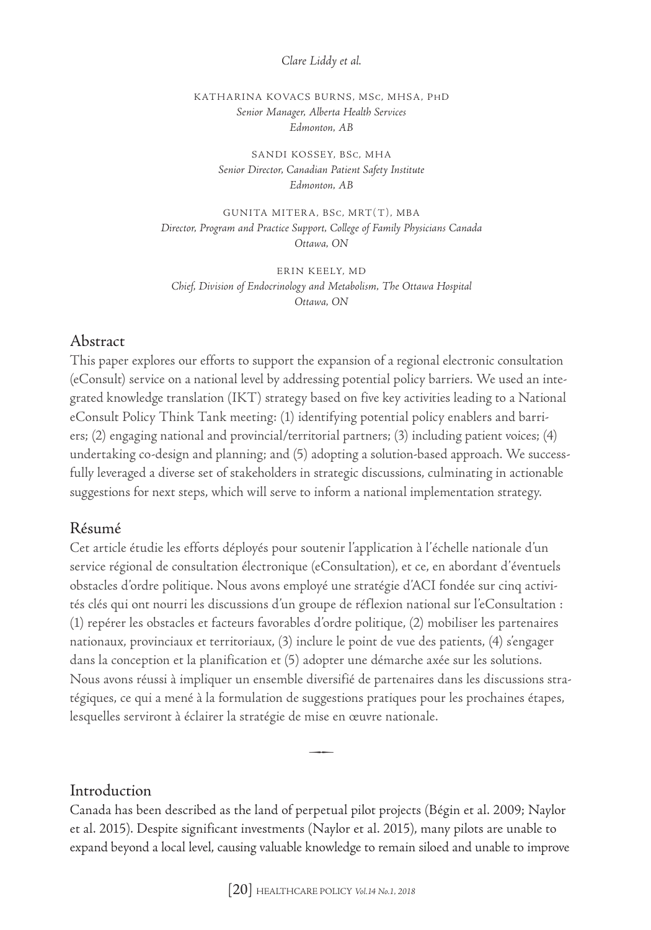#### *Clare Liddy et al.*

KATHARINA KOVACS BURNS, MSC, MHSA, PHD *Senior Manager, Alberta Health Services Edmonton, AB*

SANDI KOSSEY, BSC, MHA *Senior Director, Canadian Patient Safety Institute Edmonton, AB*

GUNITA MITERA, BSC, MRT(T), MBA *Director, Program and Practice Support, College of Family Physicians Canada Ottawa, ON*

ERIN KEELY, MD *Chief, Division of Endocrinology and Metabolism, The Ottawa Hospital Ottawa, ON*

#### Abstract

This paper explores our efforts to support the expansion of a regional electronic consultation (eConsult) service on a national level by addressing potential policy barriers. We used an integrated knowledge translation (IKT) strategy based on five key activities leading to a National eConsult Policy Think Tank meeting: (1) identifying potential policy enablers and barriers; (2) engaging national and provincial/territorial partners; (3) including patient voices; (4) undertaking co-design and planning; and (5) adopting a solution-based approach. We successfully leveraged a diverse set of stakeholders in strategic discussions, culminating in actionable suggestions for next steps, which will serve to inform a national implementation strategy.

#### Résumé

Cet article étudie les efforts déployés pour soutenir l'application à l'échelle nationale d'un service régional de consultation électronique (eConsultation), et ce, en abordant d'éventuels obstacles d'ordre politique. Nous avons employé une stratégie d'ACI fondée sur cinq activités clés qui ont nourri les discussions d'un groupe de réflexion national sur l'eConsultation : (1) repérer les obstacles et facteurs favorables d'ordre politique, (2) mobiliser les partenaires nationaux, provinciaux et territoriaux, (3) inclure le point de vue des patients, (4) s'engager dans la conception et la planification et (5) adopter une démarche axée sur les solutions. Nous avons réussi à impliquer un ensemble diversifié de partenaires dans les discussions stratégiques, ce qui a mené à la formulation de suggestions pratiques pour les prochaines étapes, lesquelles serviront à éclairer la stratégie de mise en œuvre nationale.

#### Introduction

Canada has been described as the land of perpetual pilot projects (Bégin et al. 2009; Naylor et al. 2015). Despite significant investments (Naylor et al. 2015), many pilots are unable to expand beyond a local level, causing valuable knowledge to remain siloed and unable to improve

 $\rightarrow$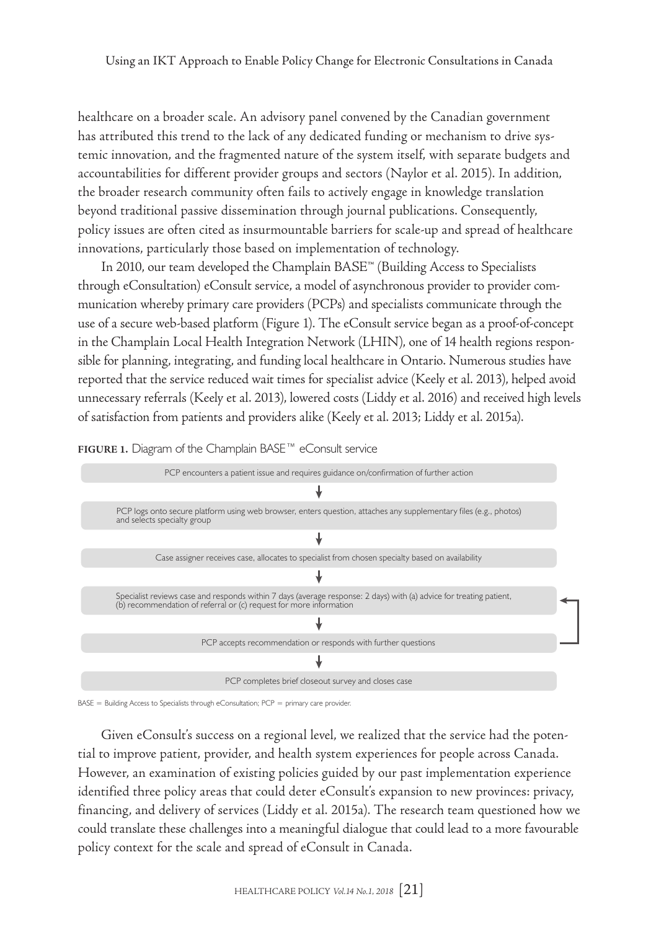healthcare on a broader scale. An advisory panel convened by the Canadian government has attributed this trend to the lack of any dedicated funding or mechanism to drive systemic innovation, and the fragmented nature of the system itself, with separate budgets and accountabilities for different provider groups and sectors (Naylor et al. 2015). In addition, the broader research community often fails to actively engage in knowledge translation beyond traditional passive dissemination through journal publications. Consequently, policy issues are often cited as insurmountable barriers for scale-up and spread of healthcare innovations, particularly those based on implementation of technology.

In 2010, our team developed the Champlain BASE™ (Building Access to Specialists through eConsultation) eConsult service, a model of asynchronous provider to provider communication whereby primary care providers (PCPs) and specialists communicate through the use of a secure web-based platform (Figure 1). The eConsult service began as a proof-of-concept in the Champlain Local Health Integration Network (LHIN), one of 14 health regions responsible for planning, integrating, and funding local healthcare in Ontario. Numerous studies have reported that the service reduced wait times for specialist advice (Keely et al. 2013), helped avoid unnecessary referrals (Keely et al. 2013), lowered costs (Liddy et al. 2016) and received high levels of satisfaction from patients and providers alike (Keely et al. 2013; Liddy et al. 2015a).





BASE = Building Access to Specialists through eConsultation; PCP = primary care provider.

Given eConsult's success on a regional level, we realized that the service had the potential to improve patient, provider, and health system experiences for people across Canada. However, an examination of existing policies guided by our past implementation experience identified three policy areas that could deter eConsult's expansion to new provinces: privacy, financing, and delivery of services (Liddy et al. 2015a). The research team questioned how we could translate these challenges into a meaningful dialogue that could lead to a more favourable policy context for the scale and spread of eConsult in Canada.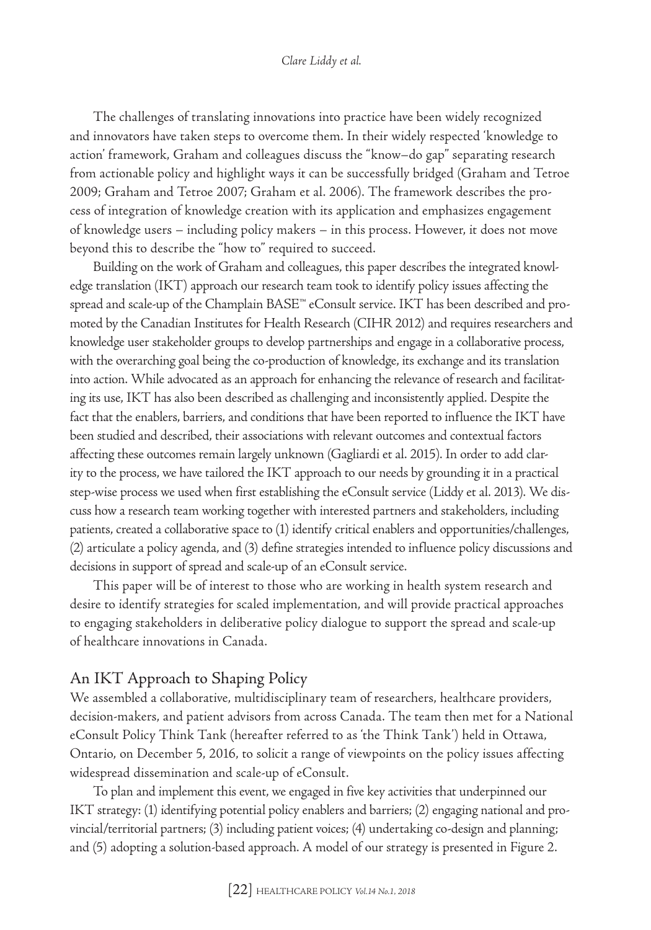The challenges of translating innovations into practice have been widely recognized and innovators have taken steps to overcome them. In their widely respected 'knowledge to action' framework, Graham and colleagues discuss the "know–do gap" separating research from actionable policy and highlight ways it can be successfully bridged (Graham and Tetroe 2009; Graham and Tetroe 2007; Graham et al. 2006). The framework describes the process of integration of knowledge creation with its application and emphasizes engagement of knowledge users – including policy makers – in this process. However, it does not move beyond this to describe the "how to" required to succeed.

Building on the work of Graham and colleagues, this paper describes the integrated knowledge translation (IKT) approach our research team took to identify policy issues affecting the spread and scale-up of the Champlain BASE™ eConsult service. IKT has been described and promoted by the Canadian Institutes for Health Research (CIHR 2012) and requires researchers and knowledge user stakeholder groups to develop partnerships and engage in a collaborative process, with the overarching goal being the co-production of knowledge, its exchange and its translation into action. While advocated as an approach for enhancing the relevance of research and facilitating its use, IKT has also been described as challenging and inconsistently applied. Despite the fact that the enablers, barriers, and conditions that have been reported to influence the IKT have been studied and described, their associations with relevant outcomes and contextual factors affecting these outcomes remain largely unknown (Gagliardi et al. 2015). In order to add clarity to the process, we have tailored the IKT approach to our needs by grounding it in a practical step-wise process we used when first establishing the eConsult service (Liddy et al. 2013). We discuss how a research team working together with interested partners and stakeholders, including patients, created a collaborative space to (1) identify critical enablers and opportunities/challenges, (2) articulate a policy agenda, and (3) define strategies intended to influence policy discussions and decisions in support of spread and scale-up of an eConsult service.

This paper will be of interest to those who are working in health system research and desire to identify strategies for scaled implementation, and will provide practical approaches to engaging stakeholders in deliberative policy dialogue to support the spread and scale-up of healthcare innovations in Canada.

#### An IKT Approach to Shaping Policy

We assembled a collaborative, multidisciplinary team of researchers, healthcare providers, decision-makers, and patient advisors from across Canada. The team then met for a National eConsult Policy Think Tank (hereafter referred to as 'the Think Tank') held in Ottawa, Ontario, on December 5, 2016, to solicit a range of viewpoints on the policy issues affecting widespread dissemination and scale-up of eConsult.

To plan and implement this event, we engaged in five key activities that underpinned our IKT strategy: (1) identifying potential policy enablers and barriers; (2) engaging national and provincial/territorial partners; (3) including patient voices; (4) undertaking co-design and planning; and (5) adopting a solution-based approach. A model of our strategy is presented in Figure 2.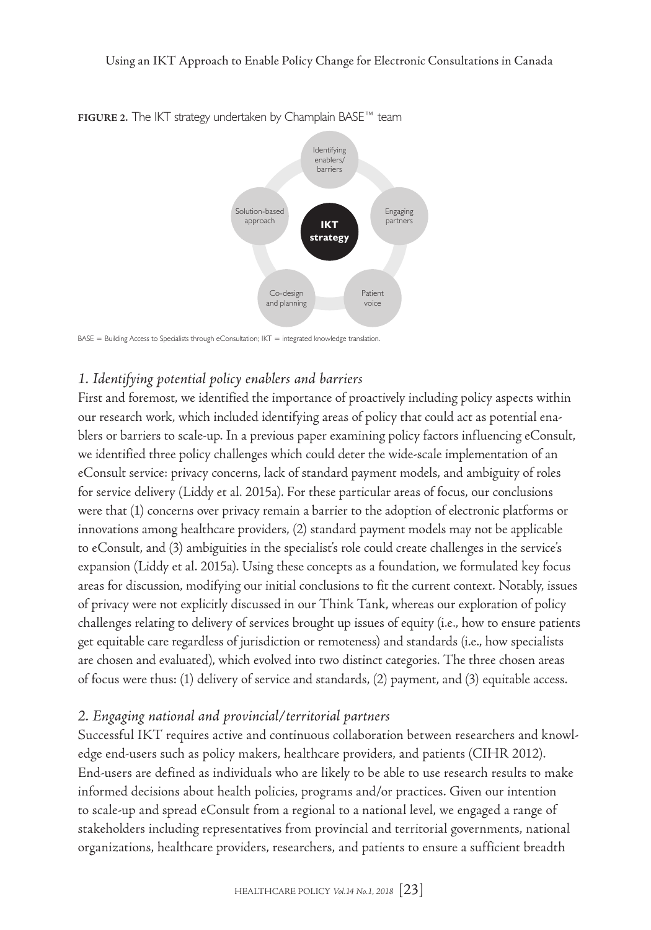

**FIGURE 2.** The IKT strategy undertaken by Champlain BASE™ team

 $BASE = Building Access$  to Specialists through eConsultation;  $IKT =$  integrated knowledge translation.

# *1. Identifying potential policy enablers and barriers*

First and foremost, we identified the importance of proactively including policy aspects within our research work, which included identifying areas of policy that could act as potential enablers or barriers to scale-up. In a previous paper examining policy factors influencing eConsult, we identified three policy challenges which could deter the wide-scale implementation of an eConsult service: privacy concerns, lack of standard payment models, and ambiguity of roles for service delivery (Liddy et al. 2015a). For these particular areas of focus, our conclusions were that (1) concerns over privacy remain a barrier to the adoption of electronic platforms or innovations among healthcare providers, (2) standard payment models may not be applicable to eConsult, and (3) ambiguities in the specialist's role could create challenges in the service's expansion (Liddy et al. 2015a). Using these concepts as a foundation, we formulated key focus areas for discussion, modifying our initial conclusions to fit the current context. Notably, issues of privacy were not explicitly discussed in our Think Tank, whereas our exploration of policy challenges relating to delivery of services brought up issues of equity (i.e., how to ensure patients get equitable care regardless of jurisdiction or remoteness) and standards (i.e., how specialists are chosen and evaluated), which evolved into two distinct categories. The three chosen areas of focus were thus: (1) delivery of service and standards, (2) payment, and (3) equitable access.

#### *2. Engaging national and provincial/territorial partners*

Successful IKT requires active and continuous collaboration between researchers and knowledge end-users such as policy makers, healthcare providers, and patients (CIHR 2012). End-users are defined as individuals who are likely to be able to use research results to make informed decisions about health policies, programs and/or practices. Given our intention to scale-up and spread eConsult from a regional to a national level, we engaged a range of stakeholders including representatives from provincial and territorial governments, national organizations, healthcare providers, researchers, and patients to ensure a sufficient breadth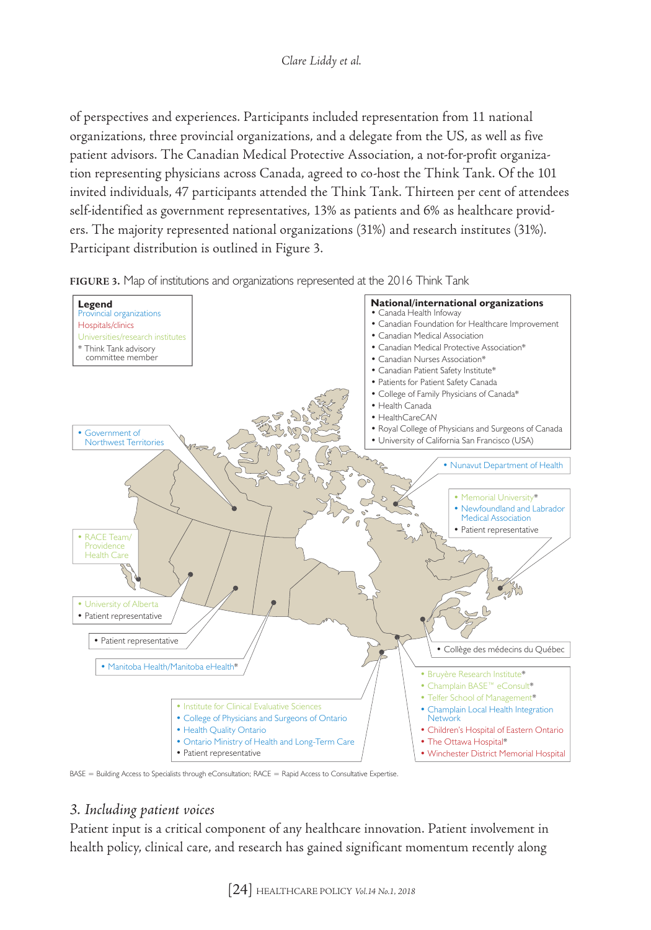#### *Clare Liddy et al.*

of perspectives and experiences. Participants included representation from 11 national organizations, three provincial organizations, and a delegate from the US, as well as five patient advisors. The Canadian Medical Protective Association, a not-for-profit organization representing physicians across Canada, agreed to co-host the Think Tank. Of the 101 invited individuals, 47 participants attended the Think Tank. Thirteen per cent of attendees self-identified as government representatives, 13% as patients and 6% as healthcare providers. The majority represented national organizations (31%) and research institutes (31%). Participant distribution is outlined in Figure 3.



**FIGURE 3.** Map of institutions and organizations represented at the 2016 Think Tank

BASE = Building Access to Specialists through eConsultation; RACE = Rapid Access to Consultative Expertise.

#### *3. Including patient voices*

Patient input is a critical component of any healthcare innovation. Patient involvement in health policy, clinical care, and research has gained significant momentum recently along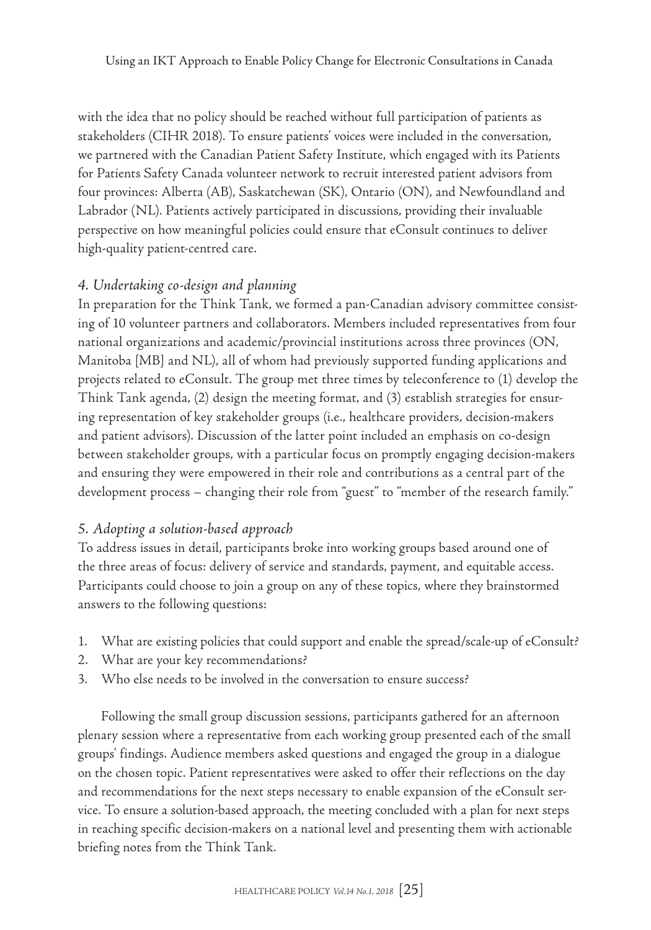with the idea that no policy should be reached without full participation of patients as stakeholders (CIHR 2018). To ensure patients' voices were included in the conversation, we partnered with the Canadian Patient Safety Institute, which engaged with its Patients for Patients Safety Canada volunteer network to recruit interested patient advisors from four provinces: Alberta (AB), Saskatchewan (SK), Ontario (ON), and Newfoundland and Labrador (NL). Patients actively participated in discussions, providing their invaluable perspective on how meaningful policies could ensure that eConsult continues to deliver high-quality patient-centred care.

### *4. Undertaking co-design and planning*

In preparation for the Think Tank, we formed a pan-Canadian advisory committee consisting of 10 volunteer partners and collaborators. Members included representatives from four national organizations and academic/provincial institutions across three provinces (ON, Manitoba [MB] and NL), all of whom had previously supported funding applications and projects related to eConsult. The group met three times by teleconference to (1) develop the Think Tank agenda, (2) design the meeting format, and (3) establish strategies for ensuring representation of key stakeholder groups (i.e., healthcare providers, decision-makers and patient advisors). Discussion of the latter point included an emphasis on co-design between stakeholder groups, with a particular focus on promptly engaging decision-makers and ensuring they were empowered in their role and contributions as a central part of the development process – changing their role from "guest" to "member of the research family."

#### *5. Adopting a solution-based approach*

To address issues in detail, participants broke into working groups based around one of the three areas of focus: delivery of service and standards, payment, and equitable access. Participants could choose to join a group on any of these topics, where they brainstormed answers to the following questions:

- 1. What are existing policies that could support and enable the spread/scale-up of eConsult?
- 2. What are your key recommendations?
- 3. Who else needs to be involved in the conversation to ensure success?

Following the small group discussion sessions, participants gathered for an afternoon plenary session where a representative from each working group presented each of the small groups' findings. Audience members asked questions and engaged the group in a dialogue on the chosen topic. Patient representatives were asked to offer their reflections on the day and recommendations for the next steps necessary to enable expansion of the eConsult service. To ensure a solution-based approach, the meeting concluded with a plan for next steps in reaching specific decision-makers on a national level and presenting them with actionable briefing notes from the Think Tank.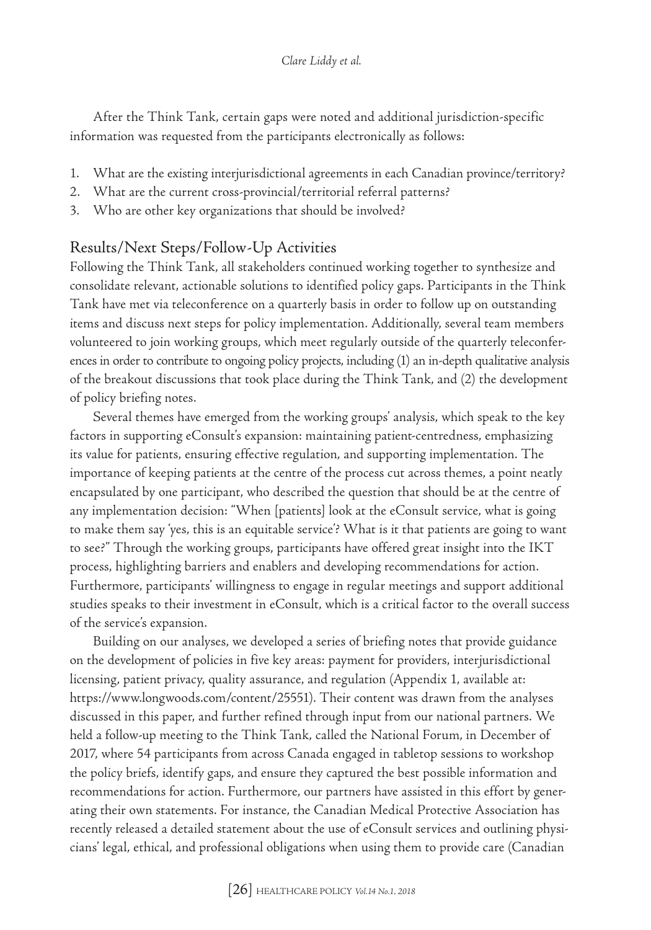After the Think Tank, certain gaps were noted and additional jurisdiction-specific information was requested from the participants electronically as follows:

- 1. What are the existing interjurisdictional agreements in each Canadian province/territory?
- 2. What are the current cross-provincial/territorial referral patterns?
- 3. Who are other key organizations that should be involved?

# Results/Next Steps/Follow-Up Activities

Following the Think Tank, all stakeholders continued working together to synthesize and consolidate relevant, actionable solutions to identified policy gaps. Participants in the Think Tank have met via teleconference on a quarterly basis in order to follow up on outstanding items and discuss next steps for policy implementation. Additionally, several team members volunteered to join working groups, which meet regularly outside of the quarterly teleconferences in order to contribute to ongoing policy projects, including (1) an in-depth qualitative analysis of the breakout discussions that took place during the Think Tank, and (2) the development of policy briefing notes.

Several themes have emerged from the working groups' analysis, which speak to the key factors in supporting eConsult's expansion: maintaining patient-centredness, emphasizing its value for patients, ensuring effective regulation, and supporting implementation. The importance of keeping patients at the centre of the process cut across themes, a point neatly encapsulated by one participant, who described the question that should be at the centre of any implementation decision: "When [patients] look at the eConsult service, what is going to make them say 'yes, this is an equitable service'? What is it that patients are going to want to see?" Through the working groups, participants have offered great insight into the IKT process, highlighting barriers and enablers and developing recommendations for action. Furthermore, participants' willingness to engage in regular meetings and support additional studies speaks to their investment in eConsult, which is a critical factor to the overall success of the service's expansion.

Building on our analyses, we developed a series of briefing notes that provide guidance on the development of policies in five key areas: payment for providers, interjurisdictional licensing, patient privacy, quality assurance, and regulation (Appendix 1, available at: <https://www.longwoods.com/content/25551>). Their content was drawn from the analyses discussed in this paper, and further refined through input from our national partners. We held a follow-up meeting to the Think Tank, called the National Forum, in December of 2017, where 54 participants from across Canada engaged in tabletop sessions to workshop the policy briefs, identify gaps, and ensure they captured the best possible information and recommendations for action. Furthermore, our partners have assisted in this effort by generating their own statements. For instance, the Canadian Medical Protective Association has recently released a detailed statement about the use of eConsult services and outlining physicians' legal, ethical, and professional obligations when using them to provide care (Canadian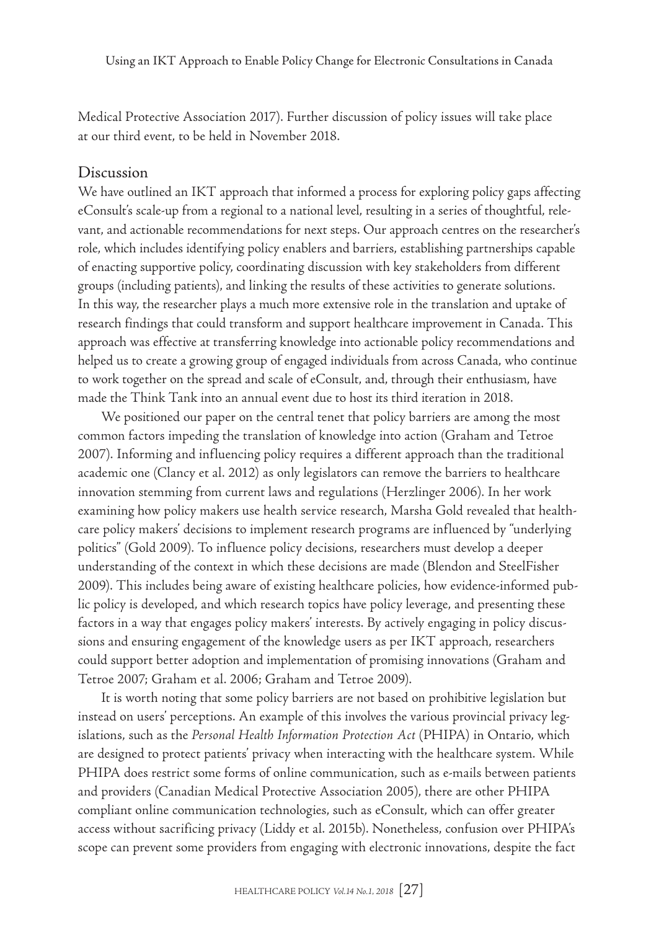Medical Protective Association 2017). Further discussion of policy issues will take place at our third event, to be held in November 2018.

#### Discussion

We have outlined an IKT approach that informed a process for exploring policy gaps affecting eConsult's scale-up from a regional to a national level, resulting in a series of thoughtful, relevant, and actionable recommendations for next steps. Our approach centres on the researcher's role, which includes identifying policy enablers and barriers, establishing partnerships capable of enacting supportive policy, coordinating discussion with key stakeholders from different groups (including patients), and linking the results of these activities to generate solutions. In this way, the researcher plays a much more extensive role in the translation and uptake of research findings that could transform and support healthcare improvement in Canada. This approach was effective at transferring knowledge into actionable policy recommendations and helped us to create a growing group of engaged individuals from across Canada, who continue to work together on the spread and scale of eConsult, and, through their enthusiasm, have made the Think Tank into an annual event due to host its third iteration in 2018.

We positioned our paper on the central tenet that policy barriers are among the most common factors impeding the translation of knowledge into action (Graham and Tetroe 2007). Informing and influencing policy requires a different approach than the traditional academic one (Clancy et al. 2012) as only legislators can remove the barriers to healthcare innovation stemming from current laws and regulations (Herzlinger 2006). In her work examining how policy makers use health service research, Marsha Gold revealed that healthcare policy makers' decisions to implement research programs are influenced by "underlying politics" (Gold 2009). To influence policy decisions, researchers must develop a deeper understanding of the context in which these decisions are made (Blendon and SteelFisher 2009). This includes being aware of existing healthcare policies, how evidence-informed public policy is developed, and which research topics have policy leverage, and presenting these factors in a way that engages policy makers' interests. By actively engaging in policy discussions and ensuring engagement of the knowledge users as per IKT approach, researchers could support better adoption and implementation of promising innovations (Graham and Tetroe 2007; Graham et al. 2006; Graham and Tetroe 2009).

It is worth noting that some policy barriers are not based on prohibitive legislation but instead on users' perceptions. An example of this involves the various provincial privacy legislations, such as the *Personal Health Information Protection Act* (PHIPA) in Ontario, which are designed to protect patients' privacy when interacting with the healthcare system. While PHIPA does restrict some forms of online communication, such as e-mails between patients and providers (Canadian Medical Protective Association 2005), there are other PHIPA compliant online communication technologies, such as eConsult, which can offer greater access without sacrificing privacy (Liddy et al. 2015b). Nonetheless, confusion over PHIPA's scope can prevent some providers from engaging with electronic innovations, despite the fact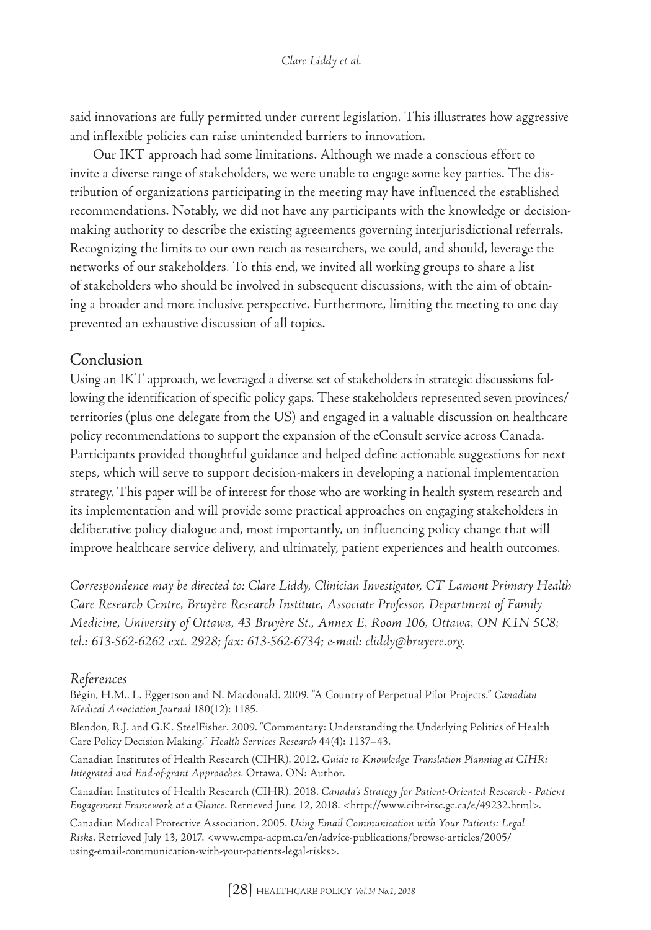said innovations are fully permitted under current legislation. This illustrates how aggressive and inflexible policies can raise unintended barriers to innovation.

Our IKT approach had some limitations. Although we made a conscious effort to invite a diverse range of stakeholders, we were unable to engage some key parties. The distribution of organizations participating in the meeting may have influenced the established recommendations. Notably, we did not have any participants with the knowledge or decisionmaking authority to describe the existing agreements governing interjurisdictional referrals. Recognizing the limits to our own reach as researchers, we could, and should, leverage the networks of our stakeholders. To this end, we invited all working groups to share a list of stakeholders who should be involved in subsequent discussions, with the aim of obtaining a broader and more inclusive perspective. Furthermore, limiting the meeting to one day prevented an exhaustive discussion of all topics.

### Conclusion

Using an IKT approach, we leveraged a diverse set of stakeholders in strategic discussions following the identification of specific policy gaps. These stakeholders represented seven provinces/ territories (plus one delegate from the US) and engaged in a valuable discussion on healthcare policy recommendations to support the expansion of the eConsult service across Canada. Participants provided thoughtful guidance and helped define actionable suggestions for next steps, which will serve to support decision-makers in developing a national implementation strategy. This paper will be of interest for those who are working in health system research and its implementation and will provide some practical approaches on engaging stakeholders in deliberative policy dialogue and, most importantly, on influencing policy change that will improve healthcare service delivery, and ultimately, patient experiences and health outcomes.

*Correspondence may be directed to: Clare Liddy, Clinician Investigator, CT Lamont Primary Health Care Research Centre, Bruyère Research Institute, Associate Professor, Department of Family Medicine, University of Ottawa, 43 Bruyère St., Annex E, Room 106, Ottawa, ON K1N 5C8; tel.: 613-562-6262 ext. 2928; fax: 613-562-6734; e-mail: [cliddy@bruyere.org.](mailto:cliddy@bruyere.org)*

#### *References*

Bégin, H.M., L. Eggertson and N. Macdonald. 2009. "A Country of Perpetual Pilot Projects." *Canadian Medical Association Journal* 180(12): 1185.

Blendon, R.J. and G.K. SteelFisher. 2009. "Commentary: Understanding the Underlying Politics of Health Care Policy Decision Making." *Health Services Research* 44(4): 1137–43.

Canadian Institutes of Health Research (CIHR). 2012. *Guide to Knowledge Translation Planning at CIHR: Integrated and End-of-grant Approaches.* Ottawa, ON: Author.

Canadian Institutes of Health Research (CIHR). 2018. *Canada's Strategy for Patient-Oriented Research - Patient Engagement Framework at a Glance*. Retrieved June 12, 2018. [<http://www.cihr-irsc.gc.ca/e/49232.html>](http://www.cihr-irsc.gc.ca/e/49232.html).

Canadian Medical Protective Association. 2005. *Using Email Communication with Your Patients: Legal Risk*s. Retrieved July 13, 2017. [<www.cmpa-acpm.ca/en/advice-publications/browse-articles/2005/](http://www.cmpa-acpm.ca/en/advice-publications/browse-articles/2005/using-email-communication-with-your-patients-legal-risks) [using-email-communication-with-your-patients-legal-risks](http://www.cmpa-acpm.ca/en/advice-publications/browse-articles/2005/using-email-communication-with-your-patients-legal-risks)>.